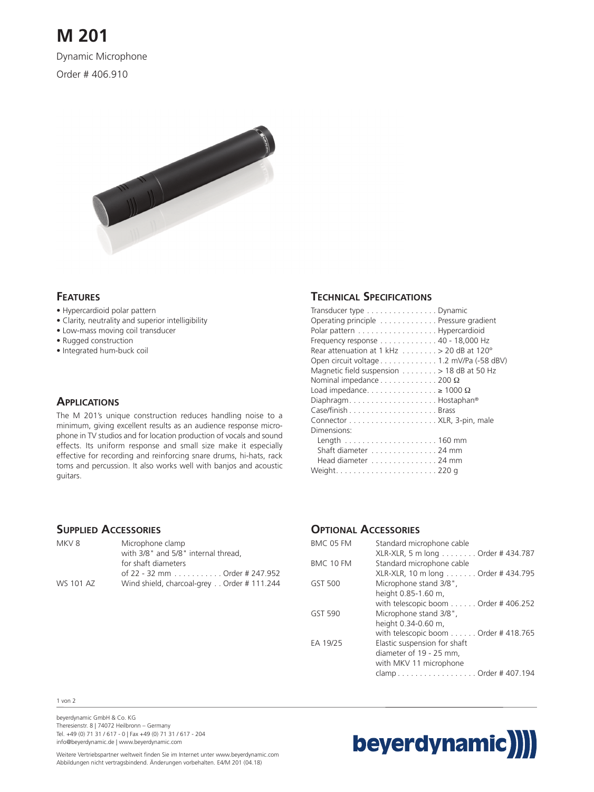# **M 201**

Dynamic Microphone

Order # 406.910



### **FEATURES**

- Hypercardioid polar pattern
- Clarity, neutrality and superior intelligibility
- Low-mass moving coil transducer
- Rugged construction
- Integrated hum-buck coil

#### **APPLICATIONS**

The M 201's unique construction reduces handling noise to a minimum, giving excellent results as an audience response microphone in TV studios and for location production of vocals and sound effects. Its uniform response and small size make it especially effective for recording and reinforcing snare drums, hi-hats, rack toms and percussion. It also works well with banjos and acoustic guitars.

## **TECHNICAL SPECIFICATIONS**

| Transducer type Dynamic                                 |  |
|---------------------------------------------------------|--|
| Operating principle Pressure gradient                   |  |
| Polar pattern Hypercardioid                             |  |
| Frequency response 40 - 18,000 Hz                       |  |
| Rear attenuation at 1 kHz $\dots \dots > 20$ dB at 120° |  |
| Open circuit voltage 1.2 mV/Pa (-58 dBV)                |  |
| Magnetic field suspension > 18 dB at 50 Hz              |  |
| Nominal impedance $\dots\dots\dots\dots$ 200 $\Omega$   |  |
| Load impedance $\geq 1000 \Omega$                       |  |
| DiaphragmBostaphan®                                     |  |
|                                                         |  |
|                                                         |  |
| Dimensions:                                             |  |
|                                                         |  |
| Shaft diameter 24 mm                                    |  |
| Head diameter 24 mm                                     |  |
|                                                         |  |

### **SUPPLIED ACCESSORIES**

| MKV 8     | Microphone clamp                          |
|-----------|-------------------------------------------|
|           | with 3/8" and 5/8" internal thread.       |
|           | for shaft diameters                       |
|           | of 22 - 32 mm Order # 247.952             |
| WS 101 AZ | Wind shield, charcoal-grey Order #111.244 |

### **OPTIONAL ACCESSORIES**

| BMC 05 FM | Standard microphone cable                    |
|-----------|----------------------------------------------|
|           | XLR-XLR, 5 m long Order # 434.787            |
| BMC 10 FM | Standard microphone cable                    |
|           | XLR-XLR, 10 m long Order # 434.795           |
| GST 500   | Microphone stand 3/8",                       |
|           | height 0.85-1.60 m,                          |
|           | with telescopic boom Order #406.252          |
| GST 590   | Microphone stand 3/8",                       |
|           | height 0.34-0.60 m,                          |
|           | with telescopic boom $\dots$ Order # 418.765 |
| EA 19/25  | Elastic suspension for shaft                 |
|           | diameter of 19 - 25 mm,                      |
|           | with MKV 11 microphone                       |
|           | clampOrder #407.194                          |
|           |                                              |

#### 1 von 2

beyerdynamic GmbH & Co. KG Theresienstr. 8 | 74072 Heilbronn – Germany Tel. +49 (0) 71 31 / 617 - 0 | Fax +49 (0) 71 31 / 617 - 204 info@beyerdynamic.de | www.beyerdynamic.com



Weitere Vertriebspartner weltweit finden Sie im Internet unter www.beyerdynamic.com Abbildungen nicht vertragsbindend. Änderungen vorbehalten. E4/M 201 (04.18)